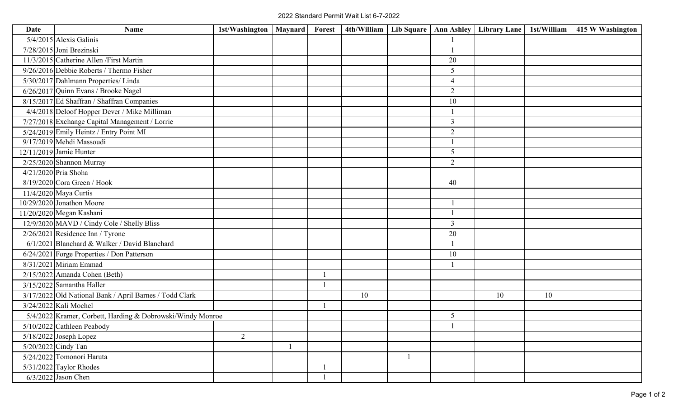| Date | Name                                                       | 1st/Washington   Maynard | Forest | 4th/William   Lib Square   Ann Ashley |                | Library Lane | 1st/William | 415 W Washington |
|------|------------------------------------------------------------|--------------------------|--------|---------------------------------------|----------------|--------------|-------------|------------------|
|      | $5/4/2015$ Alexis Galinis                                  |                          |        |                                       |                |              |             |                  |
|      | 7/28/2015 Joni Brezinski                                   |                          |        |                                       |                |              |             |                  |
|      | 11/3/2015 Catherine Allen / First Martin                   |                          |        |                                       | 20             |              |             |                  |
|      | $9/26/2016$ Debbie Roberts / Thermo Fisher                 |                          |        |                                       | 5              |              |             |                  |
|      | 5/30/2017 Dahlmann Properties/ Linda                       |                          |        |                                       | $\overline{4}$ |              |             |                  |
|      | 6/26/2017 Quinn Evans / Brooke Nagel                       |                          |        |                                       | $\overline{2}$ |              |             |                  |
|      | 8/15/2017 Ed Shaffran / Shaffran Companies                 |                          |        |                                       | 10             |              |             |                  |
|      | 4/4/2018 Deloof Hopper Dever / Mike Milliman               |                          |        |                                       |                |              |             |                  |
|      | 7/27/2018 Exchange Capital Management / Lorrie             |                          |        |                                       | $\overline{3}$ |              |             |                  |
|      | 5/24/2019 Emily Heintz / Entry Point MI                    |                          |        |                                       | $\overline{2}$ |              |             |                  |
|      | 9/17/2019 Mehdi Massoudi                                   |                          |        |                                       |                |              |             |                  |
|      | 12/11/2019 Jamie Hunter                                    |                          |        |                                       | 5              |              |             |                  |
|      | $2/25/2020$ Shannon Murray                                 |                          |        |                                       | $\overline{2}$ |              |             |                  |
|      | 4/21/2020 Pria Shoha                                       |                          |        |                                       |                |              |             |                  |
|      | $8/19/2020$ Cora Green / Hook                              |                          |        |                                       | 40             |              |             |                  |
|      | 11/4/2020 Maya Curtis                                      |                          |        |                                       |                |              |             |                  |
|      | $10/29/2020$ Jonathon Moore                                |                          |        |                                       |                |              |             |                  |
|      | 11/20/2020 Megan Kashani                                   |                          |        |                                       |                |              |             |                  |
|      | 12/9/2020 MAVD / Cindy Cole / Shelly Bliss                 |                          |        |                                       | 3              |              |             |                  |
|      | $2/26/2021$ Residence Inn / Tyrone                         |                          |        |                                       | 20             |              |             |                  |
|      | $6/1/2021$ Blanchard & Walker / David Blanchard            |                          |        |                                       |                |              |             |                  |
|      | 6/24/2021 Forge Properties / Don Patterson                 |                          |        |                                       | 10             |              |             |                  |
|      | 8/31/2021 Miriam Emmad                                     |                          |        |                                       |                |              |             |                  |
|      | $2/15/2022$ Amanda Cohen (Beth)                            |                          |        |                                       |                |              |             |                  |
|      | $3/15/2022$ Samantha Haller                                |                          |        |                                       |                |              |             |                  |
|      | 3/17/2022 Old National Bank / April Barnes / Todd Clark    |                          |        | 10                                    |                | 10           | 10          |                  |
|      | 3/24/2022 Kali Mochel                                      |                          |        |                                       |                |              |             |                  |
|      | 5/4/2022 Kramer, Corbett, Harding & Dobrowski/Windy Monroe |                          |        |                                       | 5              |              |             |                  |
|      | 5/10/2022 Cathleen Peabody                                 |                          |        |                                       |                |              |             |                  |
|      | $5/18/2022$ Joseph Lopez                                   | $\overline{2}$           |        |                                       |                |              |             |                  |
|      | 5/20/2022 Cindy Tan                                        |                          |        |                                       |                |              |             |                  |
|      | 5/24/2022 Tomonori Haruta                                  |                          |        |                                       |                |              |             |                  |
|      | $5/31/2022$ Taylor Rhodes                                  |                          |        |                                       |                |              |             |                  |
|      | $6/3/2022$ Jason Chen                                      |                          |        |                                       |                |              |             |                  |